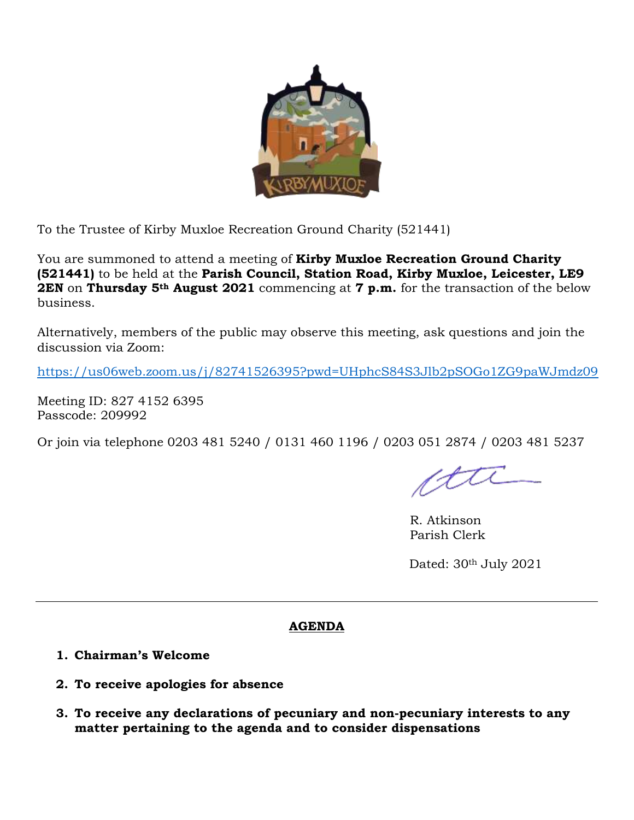

To the Trustee of Kirby Muxloe Recreation Ground Charity (521441)

You are summoned to attend a meeting of **Kirby Muxloe Recreation Ground Charity (521441)** to be held at the **Parish Council, Station Road, Kirby Muxloe, Leicester, LE9 2EN** on **Thursday 5th August 2021** commencing at **7 p.m.** for the transaction of the below business.

Alternatively, members of the public may observe this meeting, ask questions and join the discussion via Zoom:

<https://us06web.zoom.us/j/82741526395?pwd=UHphcS84S3Jlb2pSOGo1ZG9paWJmdz09>

Meeting ID: 827 4152 6395 Passcode: 209992

Or join via telephone 0203 481 5240 / 0131 460 1196 / 0203 051 2874 / 0203 481 5237

ctte

R. Atkinson Parish Clerk

Dated:  $30<sup>th</sup>$  July 2021

## **AGENDA**

- **1. Chairman's Welcome**
- **2. To receive apologies for absence**
- **3. To receive any declarations of pecuniary and non-pecuniary interests to any matter pertaining to the agenda and to consider dispensations**